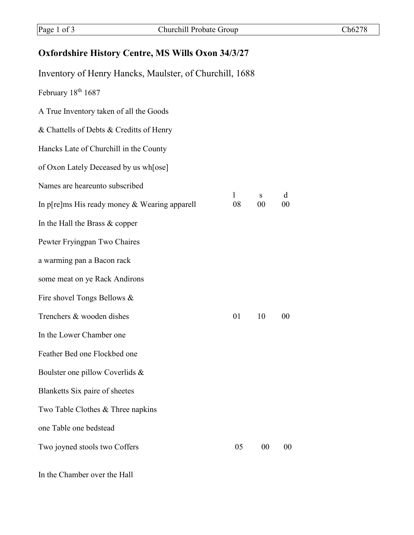## **Oxfordshire History Centre, MS Wills Oxon 34/3/27**

| Inventory of Henry Hancks, Maulster, of Churchill, 1688 |         |         |             |
|---------------------------------------------------------|---------|---------|-------------|
| February 18th 1687                                      |         |         |             |
| A True Inventory taken of all the Goods                 |         |         |             |
| & Chattells of Debts & Creditts of Henry                |         |         |             |
| Hancks Late of Churchill in the County                  |         |         |             |
| of Oxon Lately Deceased by us wh[ose]                   |         |         |             |
| Names are heareunto subscribed                          |         |         |             |
| In p[re]ms His ready money $&$ Wearing apparell         | 1<br>08 | S<br>00 | d<br>$00\,$ |
| In the Hall the Brass $&$ copper                        |         |         |             |
| Pewter Fryingpan Two Chaires                            |         |         |             |
| a warming pan a Bacon rack                              |         |         |             |
| some meat on ye Rack Andirons                           |         |         |             |
| Fire shovel Tongs Bellows &                             |         |         |             |
| Trenchers & wooden dishes                               | 01      | 10      | $00\,$      |
| In the Lower Chamber one                                |         |         |             |
| Feather Bed one Flockbed one                            |         |         |             |
| Boulster one pillow Coverlids &                         |         |         |             |
| Blanketts Six paire of sheetes                          |         |         |             |
| Two Table Clothes & Three napkins                       |         |         |             |
| one Table one bedstead                                  |         |         |             |
| Two joyned stools two Coffers                           | 05      | 00      | 00          |
|                                                         |         |         |             |

In the Chamber over the Hall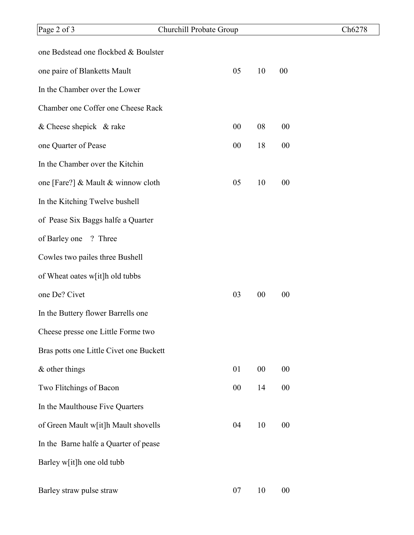| Page 2 of 3                             | Churchill Probate Group |    |        |        | Ch6278 |
|-----------------------------------------|-------------------------|----|--------|--------|--------|
| one Bedstead one flockbed & Boulster    |                         |    |        |        |        |
| one paire of Blanketts Mault            |                         | 05 | 10     | 00     |        |
| In the Chamber over the Lower           |                         |    |        |        |        |
| Chamber one Coffer one Cheese Rack      |                         |    |        |        |        |
| & Cheese shepick $\&$ rake              |                         | 00 | 08     | 00     |        |
| one Quarter of Pease                    |                         | 00 | 18     | 00     |        |
| In the Chamber over the Kitchin         |                         |    |        |        |        |
| one [Fare?] & Mault & winnow cloth      |                         | 05 | 10     | 00     |        |
| In the Kitching Twelve bushell          |                         |    |        |        |        |
| of Pease Six Baggs halfe a Quarter      |                         |    |        |        |        |
| ? Three<br>of Barley one                |                         |    |        |        |        |
| Cowles two pailes three Bushell         |                         |    |        |        |        |
| of Wheat oates w[it]h old tubbs         |                         |    |        |        |        |
| one De? Civet                           |                         | 03 | 00     | 00     |        |
| In the Buttery flower Barrells one      |                         |    |        |        |        |
| Cheese presse one Little Forme two      |                         |    |        |        |        |
| Bras potts one Little Civet one Buckett |                         |    |        |        |        |
| $&$ other things                        |                         | 01 | $00\,$ | $00\,$ |        |
| Two Flitchings of Bacon                 |                         | 00 | 14     | $00\,$ |        |
| In the Maulthouse Five Quarters         |                         |    |        |        |        |
| of Green Mault w[it]h Mault shovells    |                         | 04 | 10     | 00     |        |
| In the Barne halfe a Quarter of pease   |                         |    |        |        |        |
| Barley w[it]h one old tubb              |                         |    |        |        |        |
| Barley straw pulse straw                |                         | 07 | 10     | $00\,$ |        |